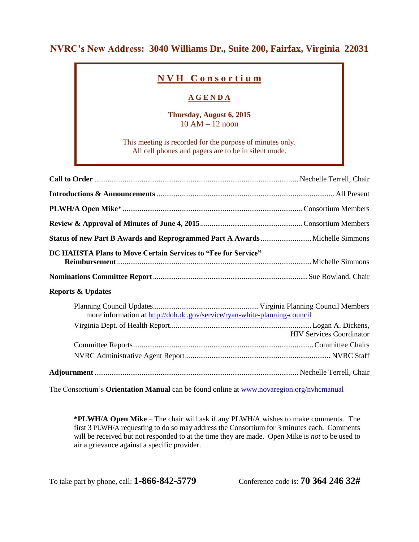### **NVRC's New Address: 3040 Williams Dr., Suite 200, Fairfax, Virginia 22031**

## **N V H C o n s o r t i u m**

### **A G E N D A**

#### **Thursday, August 6, 2015** 10 AM – 12 noon

This meeting is recorded for the purpose of minutes only. All cell phones and pagers are to be in silent mode.

| DC HAHSTA Plans to Move Certain Services to "Fee for Service"             |                                 |
|---------------------------------------------------------------------------|---------------------------------|
|                                                                           |                                 |
| <b>Reports &amp; Updates</b>                                              |                                 |
| more information at http://doh.dc.gov/service/ryan-white-planning-council |                                 |
|                                                                           | <b>HIV Services Coordinator</b> |
|                                                                           |                                 |
|                                                                           |                                 |
|                                                                           |                                 |

The Consortium's **Orientation Manual** can be found online at [www.novaregion.org/nvhcmanual](http://www.novaregion.org/nvhcmanual)

**\*PLWH/A Open Mike** – The chair will ask if any PLWH/A wishes to make comments. The first 3 PLWH/A requesting to do so may address the Consortium for 3 minutes each. Comments will be received but not responded to at the time they are made. Open Mike is *not* to be used to air a grievance against a specific provider.

To take part by phone, call: **1-866-842-5779** Conference code is: **70 364 246 32#**